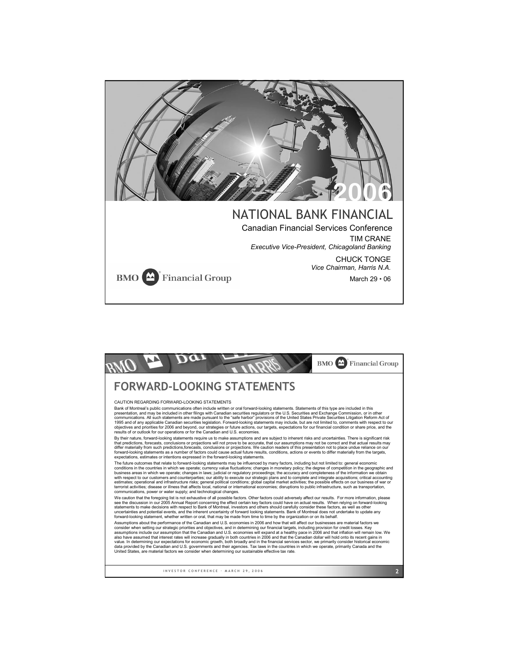

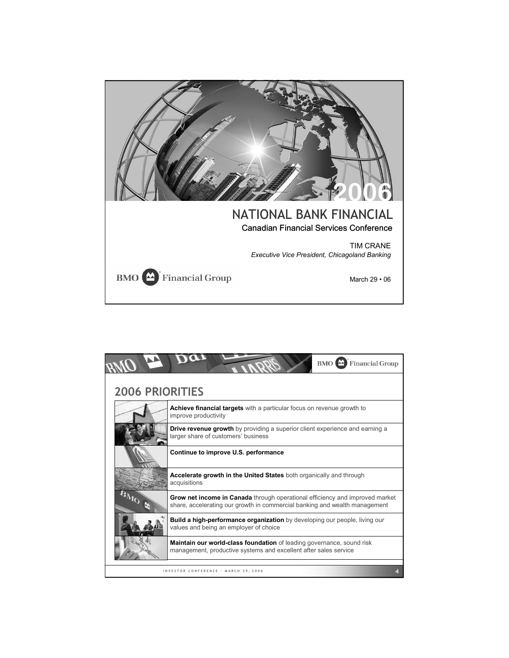

|                        | <b>Financial Group</b><br>$BMO$ <sup><math>\triangle</math></sup>                                                                                          |
|------------------------|------------------------------------------------------------------------------------------------------------------------------------------------------------|
| <b>2006 PRIORITIES</b> |                                                                                                                                                            |
|                        | <b>Achieve financial targets</b> with a particular focus on revenue growth to<br>improve productivity                                                      |
|                        | Drive revenue growth by providing a superior client experience and earning a<br>larger share of customers' business                                        |
|                        | Continue to improve U.S. performance                                                                                                                       |
|                        | Accelerate growth in the United States both organically and through<br>acquisitions                                                                        |
|                        | Grow net income in Canada through operational efficiency and improved market<br>share, accelerating our growth in commercial banking and wealth management |
|                        | Build a high-performance organization by developing our people, living our<br>values and being an employer of choice                                       |
|                        | <b>Maintain our world-class foundation</b> of leading governance, sound risk<br>management, productive systems and excellent after sales service           |
|                        | INVESTOR CONFERENCE · MARCH 29, 2006                                                                                                                       |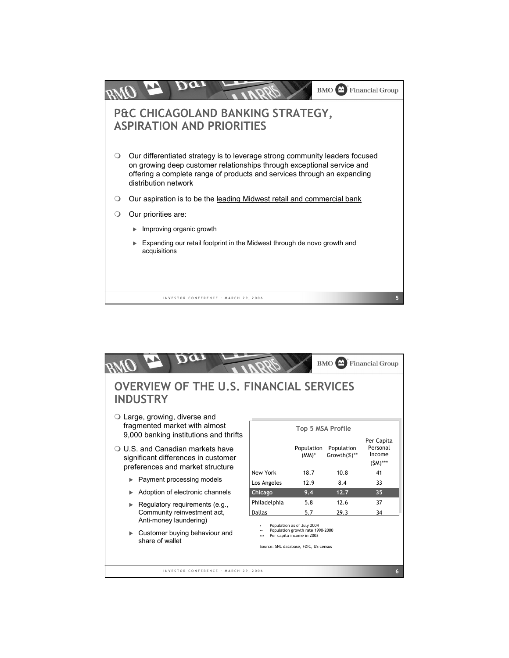

|                                                                                                                |                                                                                                                                      |                        | <b>BMO</b>                | <b>Financial Group</b>           |  |  |  |
|----------------------------------------------------------------------------------------------------------------|--------------------------------------------------------------------------------------------------------------------------------------|------------------------|---------------------------|----------------------------------|--|--|--|
| <b>OVERVIEW OF THE U.S. FINANCIAL SERVICES</b><br><b>INDUSTRY</b>                                              |                                                                                                                                      |                        |                           |                                  |  |  |  |
| $\circ$ Large, growing, diverse and<br>fragmented market with almost<br>9,000 banking institutions and thrifts | <b>Top 5 MSA Profile</b><br>Per Capita                                                                                               |                        |                           |                                  |  |  |  |
| ○ U.S. and Canadian markets have<br>significant differences in customer<br>preferences and market structure    |                                                                                                                                      | Population<br>$(MM)^*$ | Population<br>Growth(%)** | Personal<br>Income<br>$(SM)$ *** |  |  |  |
| Payment processing models                                                                                      | New York<br>Los Angeles                                                                                                              | 18.7<br>12.9           | 10.8<br>8.4               | 41<br>33                         |  |  |  |
| Adoption of electronic channels                                                                                | <b>Chicago</b>                                                                                                                       | 9.4                    | 12.7                      | 35                               |  |  |  |
| Regulatory requirements (e.g.,                                                                                 | Philadelphia                                                                                                                         | 5.8                    | 12.6                      | 37                               |  |  |  |
| Community reinvestment act,                                                                                    | <b>Dallas</b>                                                                                                                        | 5.7                    | 29.3                      | 34                               |  |  |  |
| Anti-money laundering)<br>Customer buying behaviour and<br>share of wallet                                     | Population as of July 2004<br>Population growth rate 1990-2000<br>Per capita income in 2003<br>Source: SNL database, FDIC, US census |                        |                           |                                  |  |  |  |
| INVESTOR CONFERENCE · MARCH 29, 2006<br>6                                                                      |                                                                                                                                      |                        |                           |                                  |  |  |  |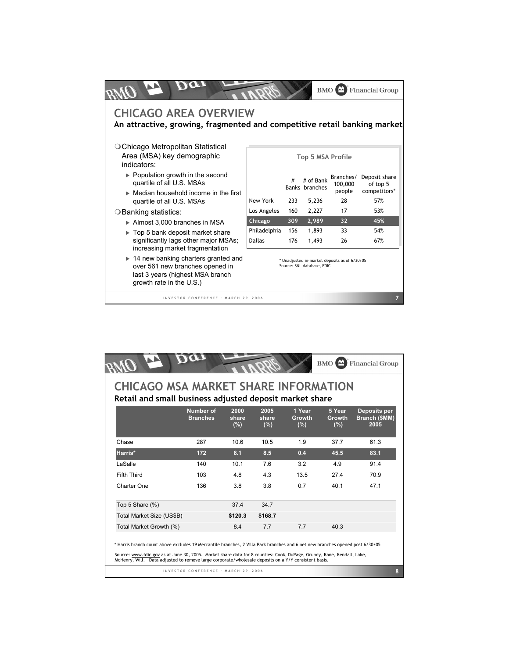|                                                                                                                                                         |                                                                             |     | <b>BMO</b>                  |                                | <b>Financial Group</b>                    |
|---------------------------------------------------------------------------------------------------------------------------------------------------------|-----------------------------------------------------------------------------|-----|-----------------------------|--------------------------------|-------------------------------------------|
| <b>CHICAGO AREA OVERVIEW</b><br>An attractive, growing, fragmented and competitive retail banking market                                                |                                                                             |     |                             |                                |                                           |
| ○ Chicago Metropolitan Statistical<br>Area (MSA) key demographic<br>indicators:                                                                         | Top 5 MSA Profile                                                           |     |                             |                                |                                           |
| $\triangleright$ Population growth in the second<br>quartile of all U.S. MSAs                                                                           |                                                                             | #   | # of Bank<br>Banks branches | Branches/<br>100,000<br>people | Deposit share<br>of top 5<br>competitors* |
| $\triangleright$ Median household income in the first<br>quartile of all U.S. MSAs                                                                      | New York                                                                    | 233 | 5,236                       | 28                             | 57%                                       |
| ○ Banking statistics:                                                                                                                                   | Los Angeles                                                                 | 160 | 2,227                       | 17                             | 53%                                       |
| Almost 3,000 branches in MSA                                                                                                                            | Chicago                                                                     | 309 | 2,989                       | 32                             | 45%                                       |
| Top 5 bank deposit market share                                                                                                                         | Philadelphia                                                                | 156 | 1,893                       | 33                             | 54%                                       |
| significantly lags other major MSAs;<br>increasing market fragmentation                                                                                 | <b>Dallas</b>                                                               | 176 | 1.493                       | 26                             | 67%                                       |
| $\triangleright$ 14 new banking charters granted and<br>over 561 new branches opened in<br>last 3 years (highest MSA branch<br>growth rate in the U.S.) | * Unadjusted in-market deposits as of 6/30/05<br>Source: SNL database, FDIC |     |                             |                                |                                           |
| INVESTOR CONFERENCE · MARCH 29, 2006                                                                                                                    |                                                                             |     |                             |                                | 7                                         |

|                                                                                                                                                                                                                                                                                                                                                                 |                                      |                      |                      |                                | $BMO$ <sup><math>\triangle</math></sup> | <b>Financial Group</b>                |  |
|-----------------------------------------------------------------------------------------------------------------------------------------------------------------------------------------------------------------------------------------------------------------------------------------------------------------------------------------------------------------|--------------------------------------|----------------------|----------------------|--------------------------------|-----------------------------------------|---------------------------------------|--|
| <b>CHICAGO MSA MARKET SHARE INFORMATION</b><br>Retail and small business adjusted deposit market share                                                                                                                                                                                                                                                          |                                      |                      |                      |                                |                                         |                                       |  |
|                                                                                                                                                                                                                                                                                                                                                                 | Number of<br><b>Branches</b>         | 2000<br>share<br>(%) | 2005<br>share<br>(%) | 1 Year<br><b>Growth</b><br>(%) | 5 Year<br><b>Growth</b><br>(%)          | Deposits per<br>Branch (\$MM)<br>2005 |  |
| Chase                                                                                                                                                                                                                                                                                                                                                           | 287                                  | 10.6                 | 10.5                 | 1.9                            | 37.7                                    | 61.3                                  |  |
| Harris*                                                                                                                                                                                                                                                                                                                                                         | 172                                  | 8.1                  | 8.5                  | 0.4                            | 45.5                                    | 83.1                                  |  |
| LaSalle                                                                                                                                                                                                                                                                                                                                                         | 140                                  | 10.1                 | 7.6                  | 3.2                            | 4.9                                     | 91.4                                  |  |
| Fifth Third                                                                                                                                                                                                                                                                                                                                                     | 103                                  | 48                   | 4 3                  | 13.5                           | 274                                     | 70.9                                  |  |
| Charter One                                                                                                                                                                                                                                                                                                                                                     | 136                                  | 3.8                  | 3.8                  | 0.7                            | 401                                     | 47.1                                  |  |
| Top 5 Share (%)                                                                                                                                                                                                                                                                                                                                                 |                                      | 37.4                 | 34.7                 |                                |                                         |                                       |  |
| Total Market Size (US\$B)                                                                                                                                                                                                                                                                                                                                       |                                      | \$120.3              | \$168.7              |                                |                                         |                                       |  |
| Total Market Growth (%)                                                                                                                                                                                                                                                                                                                                         |                                      | 8.4                  | 7.7                  | 7.7                            | 40.3                                    |                                       |  |
| * Harris branch count above excludes 19 Mercantile branches, 2 Villa Park branches and 6 net new branches opened post 6/30/05<br>Source: www.fdic.gov as at June 30, 2005. Market share data for 8 counties: Cook, DuPage, Grundy, Kane, Kendall, Lake,<br>McHenry, Will. Data adjusted to remove large corporate/wholesale deposits on a Y/Y consistent basis. |                                      |                      |                      |                                |                                         |                                       |  |
|                                                                                                                                                                                                                                                                                                                                                                 | INVESTOR CONFERENCE · MARCH 29, 2006 |                      |                      |                                |                                         | 8                                     |  |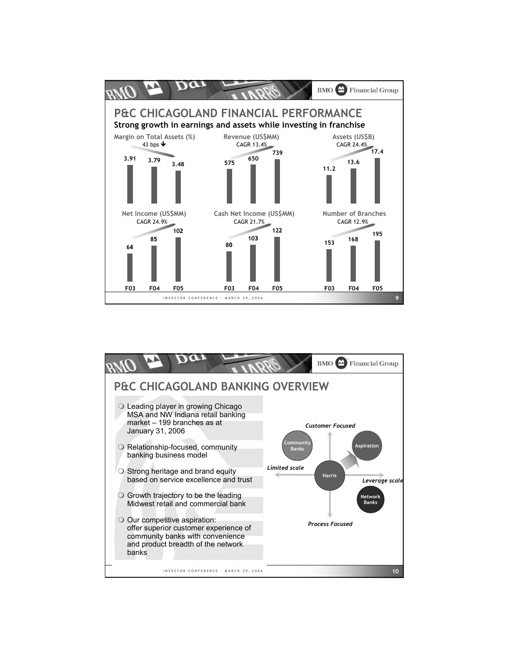

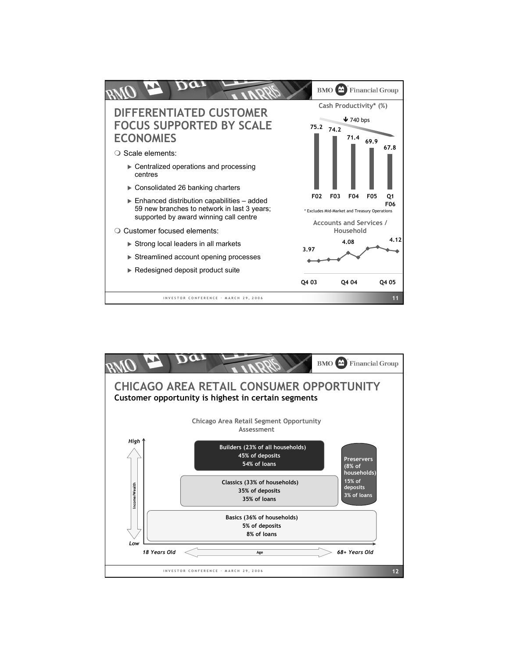

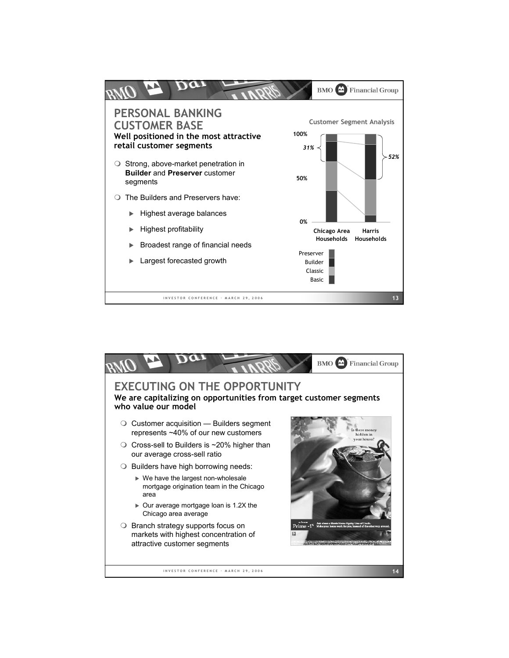

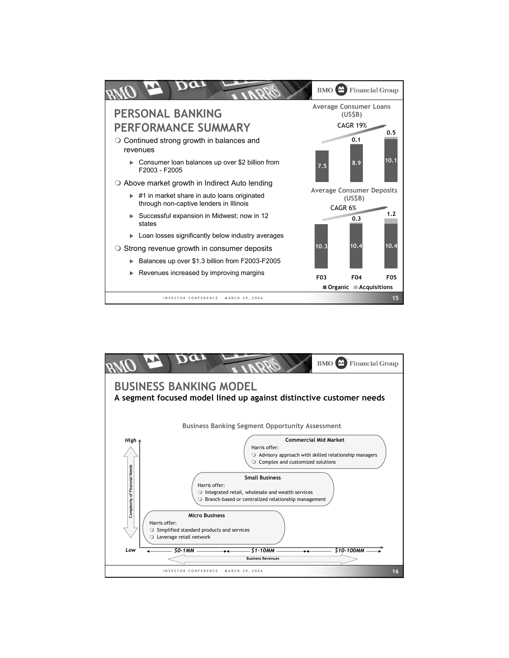

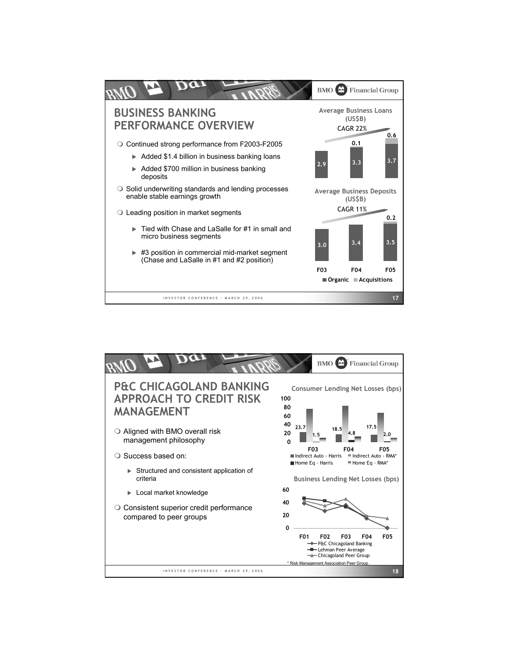

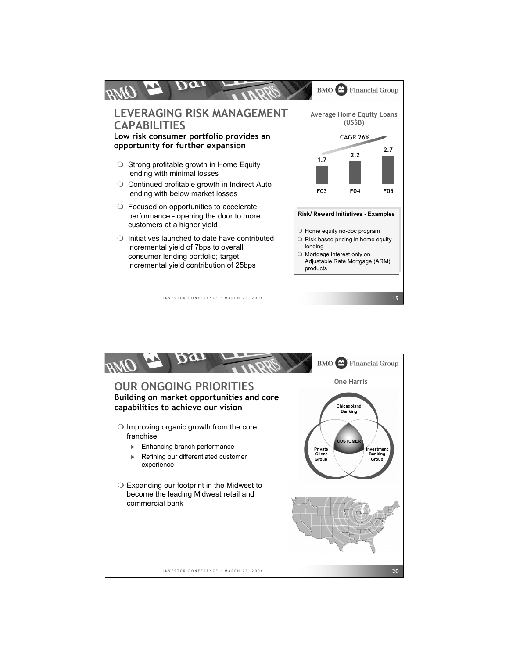

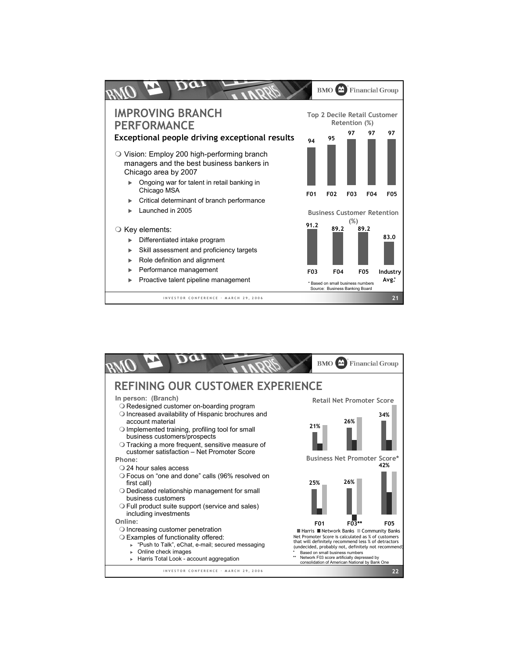

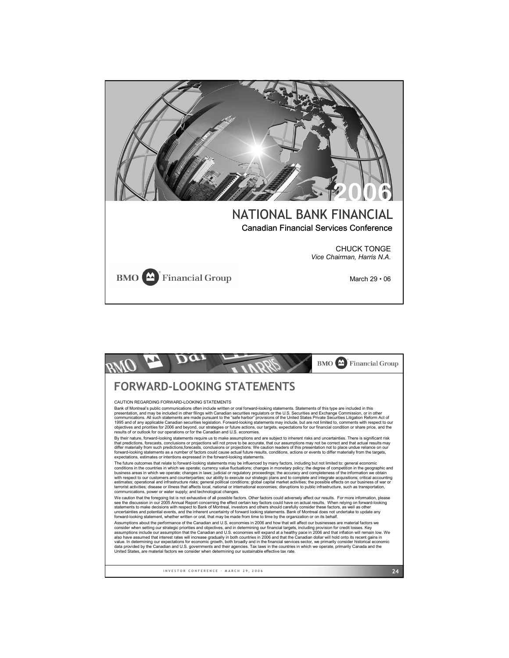

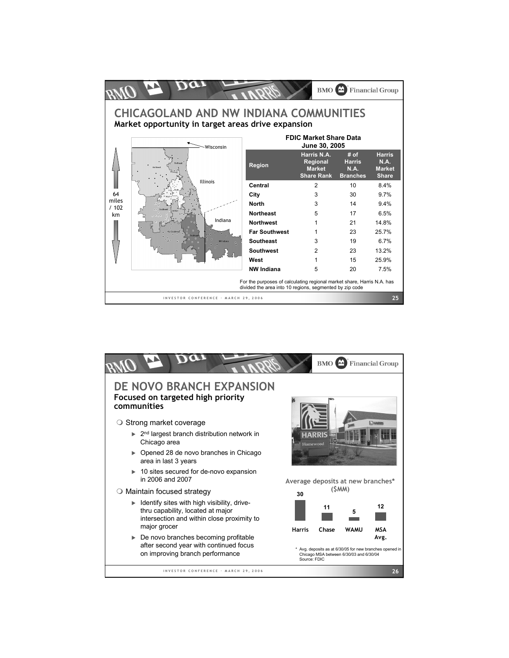

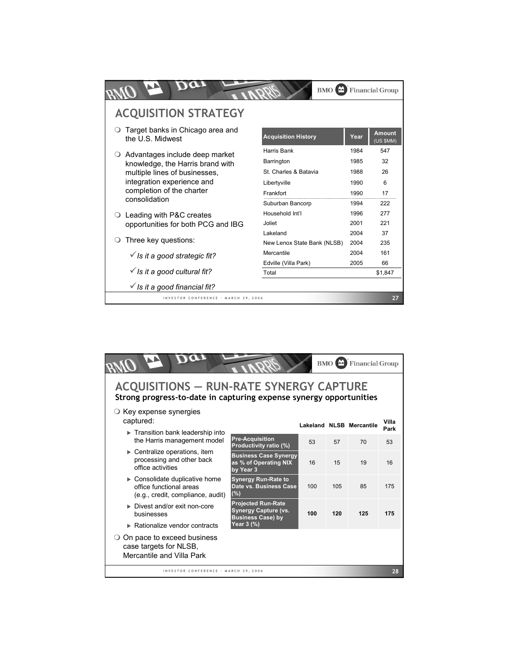|                                         |                                                      | <b>BMO</b>                  |      | <b>Financial Group</b> |
|-----------------------------------------|------------------------------------------------------|-----------------------------|------|------------------------|
|                                         | <b>ACQUISITION STRATEGY</b>                          |                             |      |                        |
|                                         | Target banks in Chicago area and<br>the U.S. Midwest | <b>Acquisition History</b>  | Year | Amount<br>(US \$MM)    |
|                                         | Advantages include deep market                       | Harris Bank                 | 1984 | 547                    |
|                                         | knowledge, the Harris brand with                     | Barrington                  | 1985 | 32                     |
|                                         | multiple lines of businesses.                        | St. Charles & Batavia       | 1988 | 26                     |
|                                         | integration experience and                           | Libertyville                | 1990 | 6                      |
|                                         | completion of the charter                            | Frankfort                   | 1990 | 17                     |
|                                         | consolidation                                        | Suburban Bancorp            | 1994 | 222                    |
|                                         | Leading with P&C creates                             | Household Int'l             | 1996 | 277                    |
|                                         | opportunities for both PCG and IBG                   | Joliet                      | 2001 | 221                    |
|                                         |                                                      | Lakeland                    | 2004 | 37                     |
|                                         | Three key questions:                                 | New Lenox State Bank (NLSB) | 2004 | 235                    |
|                                         | $\checkmark$ is it a good strategic fit?             | Mercantile                  | 2004 | 161                    |
|                                         |                                                      | Edville (Villa Park)        | 2005 | 66                     |
| $\checkmark$ is it a good cultural fit? |                                                      | Total                       |      | \$1,847                |
|                                         | $\checkmark$ Is it a good financial fit?             |                             |      |                        |
|                                         | INVESTOR CONFERENCE · MARCH 29, 2006                 |                             |      | 27                     |

|                                                                                                                      |                                                                                                                                                                                                                              |     | <b>BMO</b><br><b>IAA</b> | <b>Financial Group</b>   |               |  |  |  |
|----------------------------------------------------------------------------------------------------------------------|------------------------------------------------------------------------------------------------------------------------------------------------------------------------------------------------------------------------------|-----|--------------------------|--------------------------|---------------|--|--|--|
| <b>ACQUISITIONS - RUN-RATE SYNERGY CAPTURE</b><br>Strong progress-to-date in capturing expense synergy opportunities |                                                                                                                                                                                                                              |     |                          |                          |               |  |  |  |
| $\circ$ Key expense synergies<br>captured:                                                                           |                                                                                                                                                                                                                              |     |                          | Lakeland NLSB Mercantile | Villa<br>Park |  |  |  |
| $\triangleright$ Transition bank leadership into<br>the Harris management model                                      | <b>Pre-Acquisition</b><br>Productivity ratio (%)                                                                                                                                                                             | 53  | 57                       | 70                       | 53            |  |  |  |
| $\triangleright$ Centralize operations, item<br>processing and other back<br>office activities                       | <b>Business Case Synergy</b><br>as % of Operating NIX<br>by Year 3<br><b>Synergy Run-Rate to</b><br>Date vs. Business Case<br>$(\%)$<br><b>Projected Run-Rate</b><br><b>Synergy Capture (vs.</b><br><b>Business Case) by</b> | 16  | 15                       | 19                       | 16            |  |  |  |
| $\triangleright$ Consolidate duplicative home<br>office functional areas<br>(e.g., credit, compliance, audit)        |                                                                                                                                                                                                                              | 100 | 105                      | 85                       | 175           |  |  |  |
| Divest and/or exit non-core<br>businesses                                                                            |                                                                                                                                                                                                                              | 100 | 120                      | 125                      | 175           |  |  |  |
| $\triangleright$ Rationalize vendor contracts                                                                        | Year 3 (%)                                                                                                                                                                                                                   |     |                          |                          |               |  |  |  |
| $\circ$ On pace to exceed business<br>case targets for NLSB,<br>Mercantile and Villa Park                            |                                                                                                                                                                                                                              |     |                          |                          |               |  |  |  |
| INVESTOR CONFERENCE · MARCH 29, 2006                                                                                 |                                                                                                                                                                                                                              |     |                          |                          | 28            |  |  |  |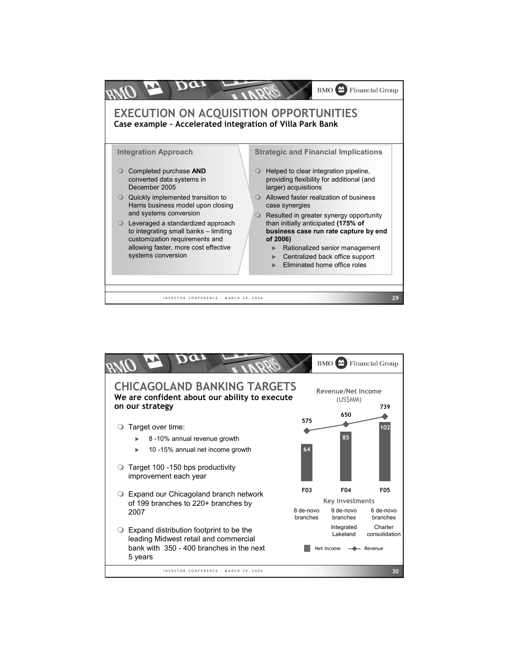

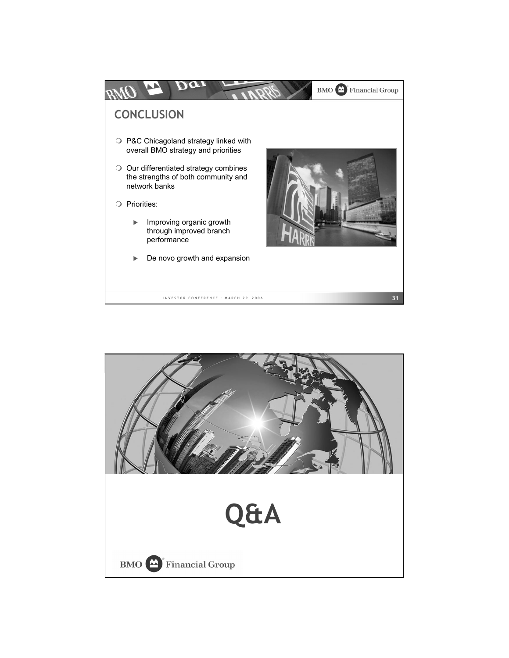